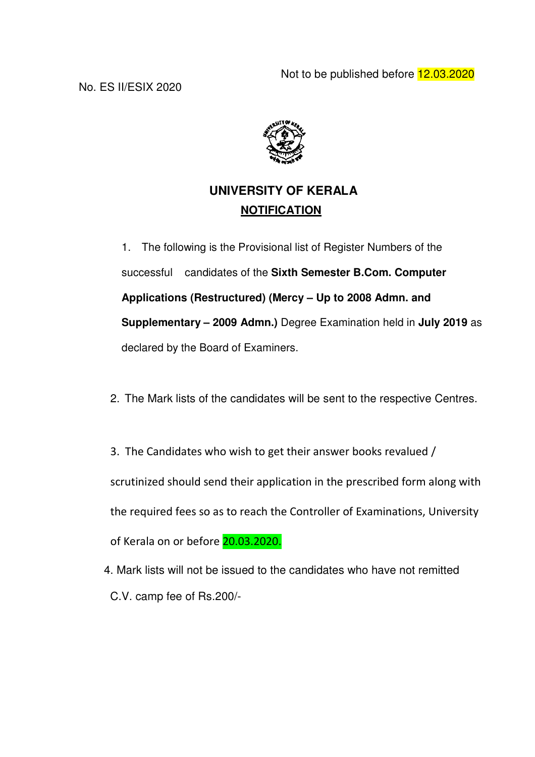

# **UNIVERSITY OF KERALA NOTIFICATION**

1. The following is the Provisional list of Register Numbers of the successful candidates of the **Sixth Semester B.Com. Computer Applications (Restructured) (Mercy – Up to 2008 Admn. and Supplementary – 2009 Admn.)** Degree Examination held in **July 2019** as declared by the Board of Examiners.

- 2. The Mark lists of the candidates will be sent to the respective Centres.
- 3. The Candidates who wish to get their answer books revalued / scrutinized should send their application in the prescribed form along with the required fees so as to reach the Controller of Examinations, University of Kerala on or before 20.03.2020.
- 4. Mark lists will not be issued to the candidates who have not remitted C.V. camp fee of Rs.200/-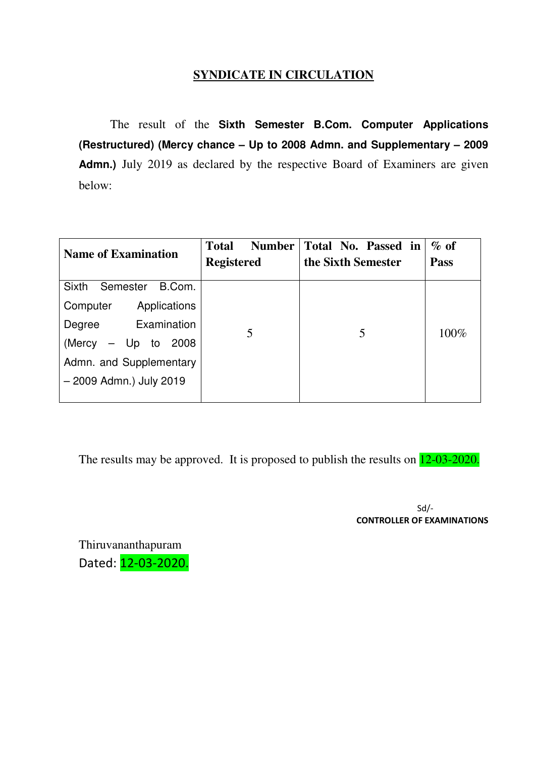## **SYNDICATE IN CIRCULATION**

 The result of the **Sixth Semester B.Com. Computer Applications (Restructured) (Mercy chance – Up to 2008 Admn. and Supplementary – 2009**  Admn.) July 2019 as declared by the respective Board of Examiners are given below:

| <b>Name of Examination</b>         | <b>Total</b><br><b>Number</b><br><b>Registered</b> | Total No. Passed in<br>the Sixth Semester | $\%$ of<br><b>Pass</b> |
|------------------------------------|----------------------------------------------------|-------------------------------------------|------------------------|
| <b>Sixth</b><br>B.Com.<br>Semester |                                                    |                                           |                        |
| Applications<br>Computer           |                                                    |                                           |                        |
| Examination<br>Degree              | 5                                                  | 5                                         | 100%                   |
| $-$ Up to 2008<br>(Mercy           |                                                    |                                           |                        |
| Admn. and Supplementary            |                                                    |                                           |                        |
| - 2009 Admn.) July 2019            |                                                    |                                           |                        |
|                                    |                                                    |                                           |                        |

The results may be approved. It is proposed to publish the results on  $12-03-2020$ .

Sd/- CONTROLLER OF EXAMINATIONS

Thiruvananthapuram Dated: 12-03-2020.